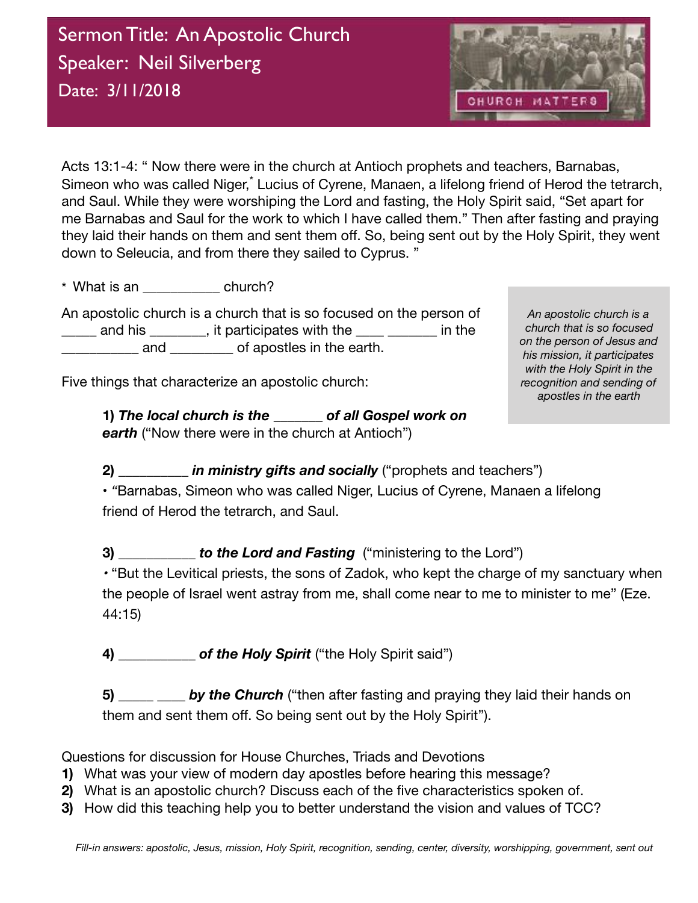

Acts 13:1-4: " Now there were in the church at Antioch prophets and teachers, Barnabas, Simeon who was called Niger,<sup>\*</sup> Lucius of Cyrene, Manaen, a lifelong friend of Herod the tetrarch, and Saul. While they were worshiping the Lord and fasting, the Holy Spirit said, "Set apart for me Barnabas and Saul for the work to which I have called them." Then after fasting and praying they laid their hands on them and sent them off. So, being sent out by the Holy Spirit, they went down to Seleucia, and from there they sailed to Cyprus. "

\* What is an  $\overline{c}$  church?

An apostolic church is a church that is so focused on the person of  $\frac{1}{2}$  and his  $\frac{1}{2}$ , it participates with the  $\frac{1}{2}$   $\frac{1}{2}$  in the and and  $\alpha$  of apostles in the earth.

Five things that characterize an apostolic church:

**1)** *The local church is the \_\_\_\_\_\_\_ of all Gospel work on*  **earth** ("Now there were in the church at Antioch")

*An apostolic church is a church that is so focused on the person of Jesus and his mission, it participates with the Holy Spirit in the recognition and sending of apostles in the earth*

**2)** *\_\_\_\_\_\_\_\_\_\_ in ministry gifts and socially* ("prophets and teachers")

**•** *"*Barnabas, Simeon who was called Niger, Lucius of Cyrene, Manaen a lifelong friend of Herod the tetrarch, and Saul.

**3)** *b* **to the Lord and Fasting ("ministering to the Lord")** 

*•* "But the Levitical priests, the sons of Zadok, who kept the charge of my sanctuary when the people of Israel went astray from me, shall come near to me to minister to me" (Eze. 44:15)

**4) \_\_\_\_\_\_\_\_\_\_\_** *of the Holy Spirit* ("the Holy Spirit said")

**5) \_\_\_\_\_ \_\_\_\_** *by the Church* ("then after fasting and praying they laid their hands on them and sent them off. So being sent out by the Holy Spirit").

Questions for discussion for House Churches, Triads and Devotions

- **1)** What was your view of modern day apostles before hearing this message?
- **2)** What is an apostolic church? Discuss each of the five characteristics spoken of.
- **3)** How did this teaching help you to better understand the vision and values of TCC?